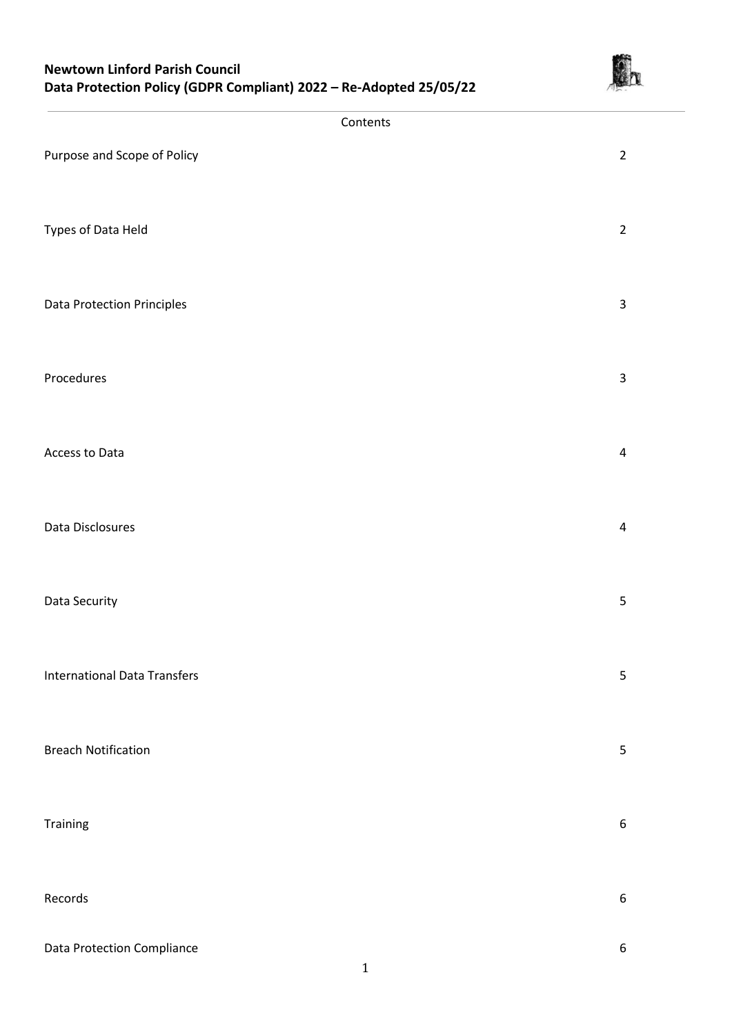

|                                     | Contents         |
|-------------------------------------|------------------|
| Purpose and Scope of Policy         | $\overline{2}$   |
| Types of Data Held                  | $\overline{2}$   |
| Data Protection Principles          | $\mathsf{3}$     |
| Procedures                          | $\mathbf{3}$     |
| Access to Data                      | $\overline{4}$   |
| Data Disclosures                    | $\overline{a}$   |
| Data Security                       | 5                |
| <b>International Data Transfers</b> | $\sqrt{5}$       |
| <b>Breach Notification</b>          | $\overline{5}$   |
| Training                            | $\boldsymbol{6}$ |
| Records                             | $\boldsymbol{6}$ |
| Data Protection Compliance          | $\boldsymbol{6}$ |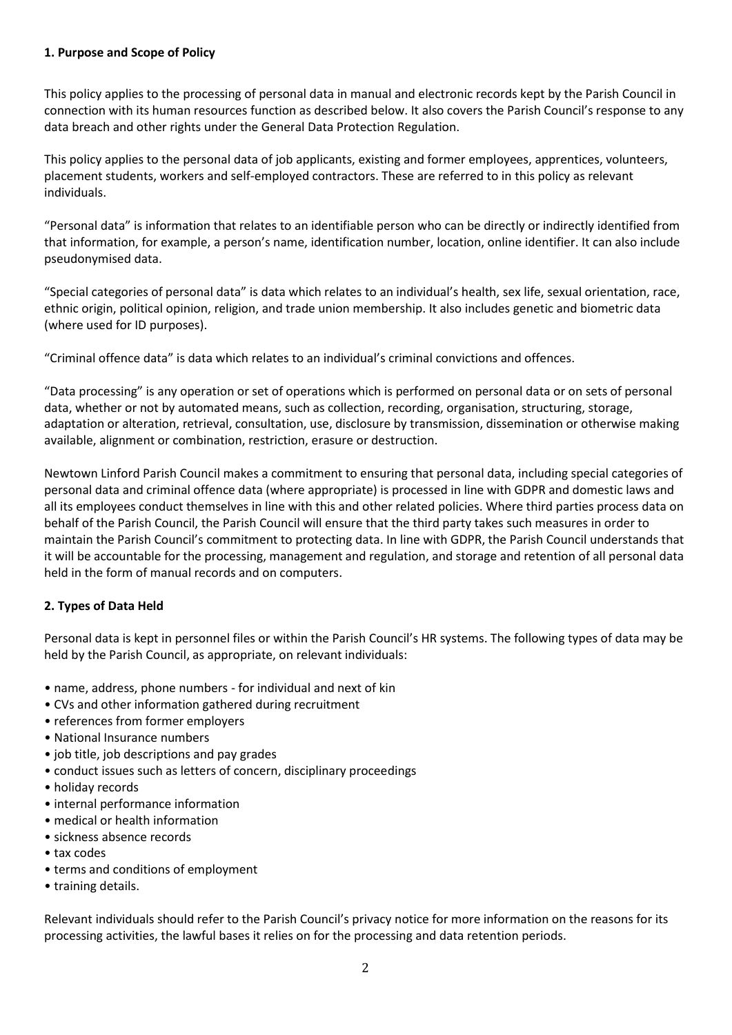# **1. Purpose and Scope of Policy**

This policy applies to the processing of personal data in manual and electronic records kept by the Parish Council in connection with its human resources function as described below. It also covers the Parish Council's response to any data breach and other rights under the General Data Protection Regulation.

This policy applies to the personal data of job applicants, existing and former employees, apprentices, volunteers, placement students, workers and self-employed contractors. These are referred to in this policy as relevant individuals.

"Personal data" is information that relates to an identifiable person who can be directly or indirectly identified from that information, for example, a person's name, identification number, location, online identifier. It can also include pseudonymised data.

"Special categories of personal data" is data which relates to an individual's health, sex life, sexual orientation, race, ethnic origin, political opinion, religion, and trade union membership. It also includes genetic and biometric data (where used for ID purposes).

"Criminal offence data" is data which relates to an individual's criminal convictions and offences.

"Data processing" is any operation or set of operations which is performed on personal data or on sets of personal data, whether or not by automated means, such as collection, recording, organisation, structuring, storage, adaptation or alteration, retrieval, consultation, use, disclosure by transmission, dissemination or otherwise making available, alignment or combination, restriction, erasure or destruction.

Newtown Linford Parish Council makes a commitment to ensuring that personal data, including special categories of personal data and criminal offence data (where appropriate) is processed in line with GDPR and domestic laws and all its employees conduct themselves in line with this and other related policies. Where third parties process data on behalf of the Parish Council, the Parish Council will ensure that the third party takes such measures in order to maintain the Parish Council's commitment to protecting data. In line with GDPR, the Parish Council understands that it will be accountable for the processing, management and regulation, and storage and retention of all personal data held in the form of manual records and on computers.

# **2. Types of Data Held**

Personal data is kept in personnel files or within the Parish Council's HR systems. The following types of data may be held by the Parish Council, as appropriate, on relevant individuals:

- name, address, phone numbers for individual and next of kin
- CVs and other information gathered during recruitment
- references from former employers
- National Insurance numbers
- job title, job descriptions and pay grades
- conduct issues such as letters of concern, disciplinary proceedings
- holiday records
- internal performance information
- medical or health information
- sickness absence records
- tax codes
- terms and conditions of employment
- training details.

Relevant individuals should refer to the Parish Council's privacy notice for more information on the reasons for its processing activities, the lawful bases it relies on for the processing and data retention periods.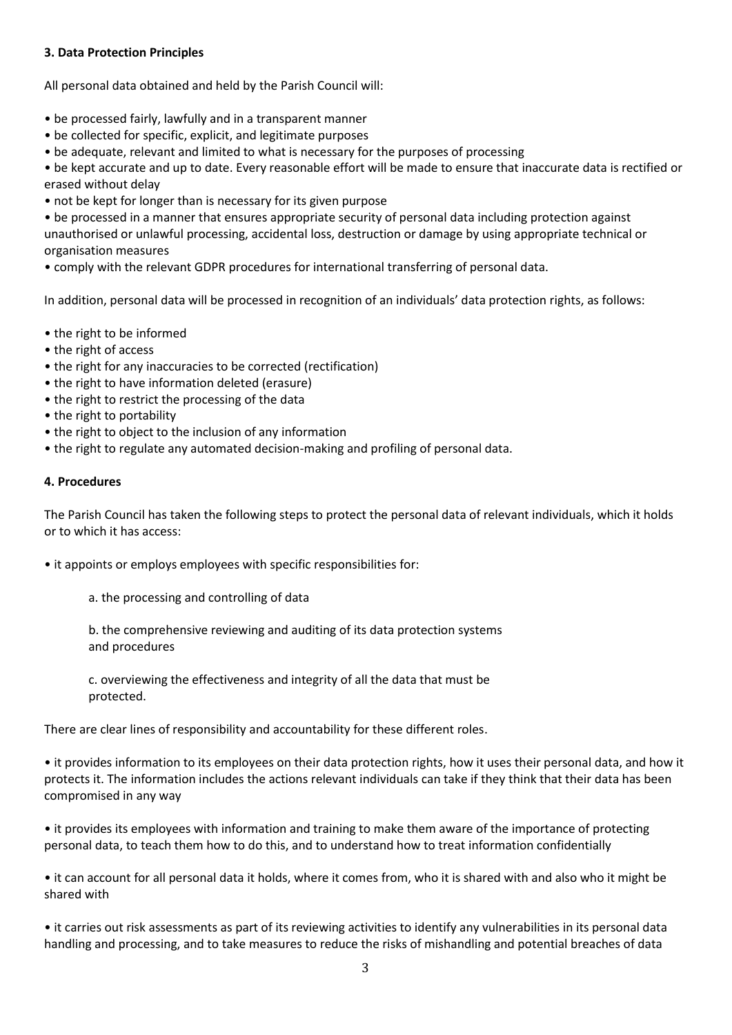# **3. Data Protection Principles**

All personal data obtained and held by the Parish Council will:

- be processed fairly, lawfully and in a transparent manner
- be collected for specific, explicit, and legitimate purposes
- be adequate, relevant and limited to what is necessary for the purposes of processing

• be kept accurate and up to date. Every reasonable effort will be made to ensure that inaccurate data is rectified or erased without delay

• not be kept for longer than is necessary for its given purpose

• be processed in a manner that ensures appropriate security of personal data including protection against unauthorised or unlawful processing, accidental loss, destruction or damage by using appropriate technical or organisation measures

• comply with the relevant GDPR procedures for international transferring of personal data.

In addition, personal data will be processed in recognition of an individuals' data protection rights, as follows:

- the right to be informed
- the right of access
- the right for any inaccuracies to be corrected (rectification)
- the right to have information deleted (erasure)
- the right to restrict the processing of the data
- the right to portability
- the right to object to the inclusion of any information
- the right to regulate any automated decision-making and profiling of personal data.

# **4. Procedures**

The Parish Council has taken the following steps to protect the personal data of relevant individuals, which it holds or to which it has access:

• it appoints or employs employees with specific responsibilities for:

a. the processing and controlling of data

b. the comprehensive reviewing and auditing of its data protection systems and procedures

c. overviewing the effectiveness and integrity of all the data that must be protected.

There are clear lines of responsibility and accountability for these different roles.

• it provides information to its employees on their data protection rights, how it uses their personal data, and how it protects it. The information includes the actions relevant individuals can take if they think that their data has been compromised in any way

• it provides its employees with information and training to make them aware of the importance of protecting personal data, to teach them how to do this, and to understand how to treat information confidentially

• it can account for all personal data it holds, where it comes from, who it is shared with and also who it might be shared with

• it carries out risk assessments as part of its reviewing activities to identify any vulnerabilities in its personal data handling and processing, and to take measures to reduce the risks of mishandling and potential breaches of data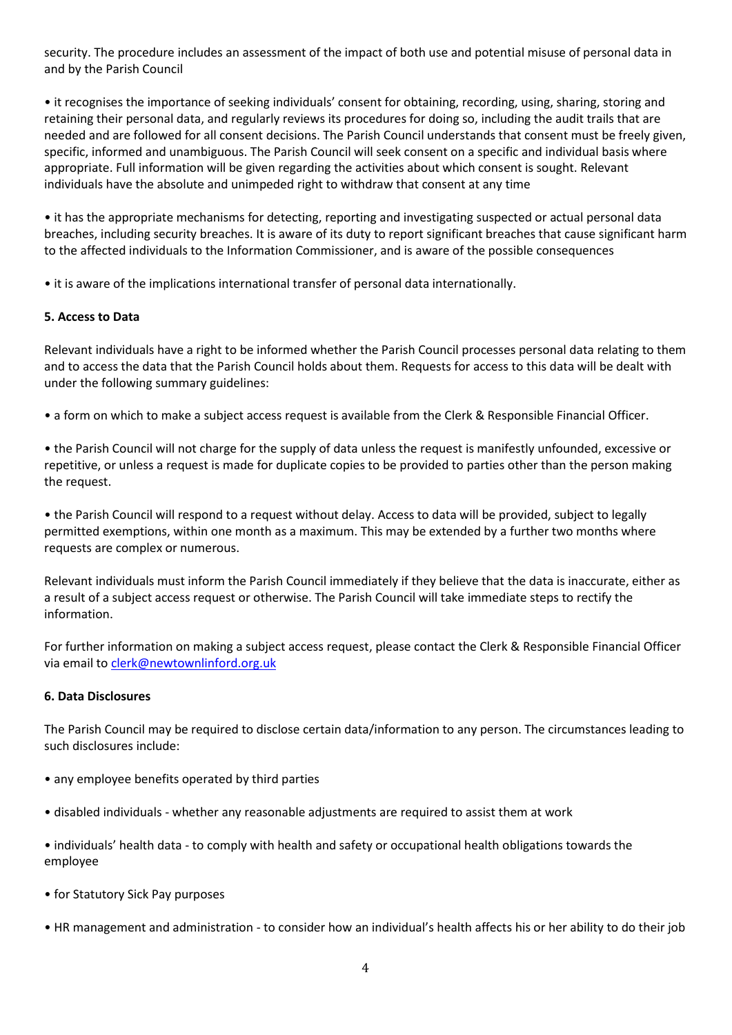security. The procedure includes an assessment of the impact of both use and potential misuse of personal data in and by the Parish Council

• it recognises the importance of seeking individuals' consent for obtaining, recording, using, sharing, storing and retaining their personal data, and regularly reviews its procedures for doing so, including the audit trails that are needed and are followed for all consent decisions. The Parish Council understands that consent must be freely given, specific, informed and unambiguous. The Parish Council will seek consent on a specific and individual basis where appropriate. Full information will be given regarding the activities about which consent is sought. Relevant individuals have the absolute and unimpeded right to withdraw that consent at any time

• it has the appropriate mechanisms for detecting, reporting and investigating suspected or actual personal data breaches, including security breaches. It is aware of its duty to report significant breaches that cause significant harm to the affected individuals to the Information Commissioner, and is aware of the possible consequences

• it is aware of the implications international transfer of personal data internationally.

# **5. Access to Data**

Relevant individuals have a right to be informed whether the Parish Council processes personal data relating to them and to access the data that the Parish Council holds about them. Requests for access to this data will be dealt with under the following summary guidelines:

• a form on which to make a subject access request is available from the Clerk & Responsible Financial Officer.

• the Parish Council will not charge for the supply of data unless the request is manifestly unfounded, excessive or repetitive, or unless a request is made for duplicate copies to be provided to parties other than the person making the request.

• the Parish Council will respond to a request without delay. Access to data will be provided, subject to legally permitted exemptions, within one month as a maximum. This may be extended by a further two months where requests are complex or numerous.

Relevant individuals must inform the Parish Council immediately if they believe that the data is inaccurate, either as a result of a subject access request or otherwise. The Parish Council will take immediate steps to rectify the information.

For further information on making a subject access request, please contact the Clerk & Responsible Financial Officer via email to [clerk@newtownlinford.org.uk](mailto:clerk@newtownlinford.org.uk)

### **6. Data Disclosures**

The Parish Council may be required to disclose certain data/information to any person. The circumstances leading to such disclosures include:

- any employee benefits operated by third parties
- disabled individuals whether any reasonable adjustments are required to assist them at work
- individuals' health data to comply with health and safety or occupational health obligations towards the employee
- for Statutory Sick Pay purposes
- HR management and administration to consider how an individual's health affects his or her ability to do their job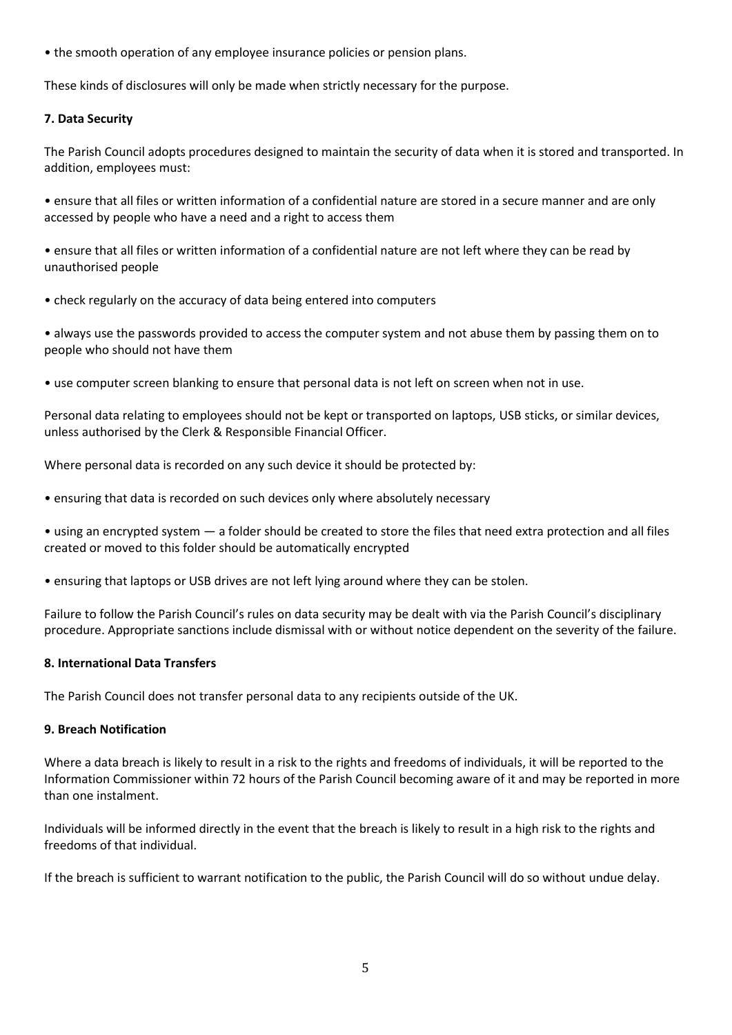• the smooth operation of any employee insurance policies or pension plans.

These kinds of disclosures will only be made when strictly necessary for the purpose.

# **7. Data Security**

The Parish Council adopts procedures designed to maintain the security of data when it is stored and transported. In addition, employees must:

• ensure that all files or written information of a confidential nature are stored in a secure manner and are only accessed by people who have a need and a right to access them

• ensure that all files or written information of a confidential nature are not left where they can be read by unauthorised people

• check regularly on the accuracy of data being entered into computers

• always use the passwords provided to access the computer system and not abuse them by passing them on to people who should not have them

• use computer screen blanking to ensure that personal data is not left on screen when not in use.

Personal data relating to employees should not be kept or transported on laptops, USB sticks, or similar devices, unless authorised by the Clerk & Responsible Financial Officer.

Where personal data is recorded on any such device it should be protected by:

• ensuring that data is recorded on such devices only where absolutely necessary

• using an encrypted system — a folder should be created to store the files that need extra protection and all files created or moved to this folder should be automatically encrypted

• ensuring that laptops or USB drives are not left lying around where they can be stolen.

Failure to follow the Parish Council's rules on data security may be dealt with via the Parish Council's disciplinary procedure. Appropriate sanctions include dismissal with or without notice dependent on the severity of the failure.

### **8. International Data Transfers**

The Parish Council does not transfer personal data to any recipients outside of the UK.

### **9. Breach Notification**

Where a data breach is likely to result in a risk to the rights and freedoms of individuals, it will be reported to the Information Commissioner within 72 hours of the Parish Council becoming aware of it and may be reported in more than one instalment.

Individuals will be informed directly in the event that the breach is likely to result in a high risk to the rights and freedoms of that individual.

If the breach is sufficient to warrant notification to the public, the Parish Council will do so without undue delay.